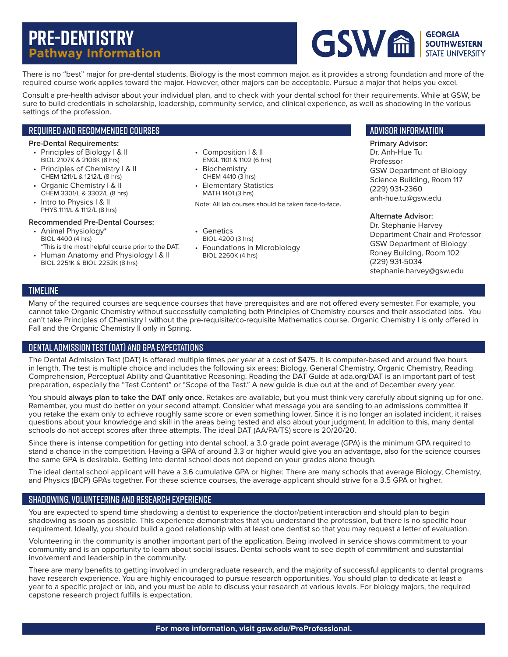# **Pre-Dentistry Pathway Information**



There is no "best" major for pre-dental students. Biology is the most common major, as it provides a strong foundation and more of the required course work applies toward the major. However, other majors can be acceptable. Pursue a major that helps you excel.

Consult a pre-health advisor about your individual plan, and to check with your dental school for their requirements. While at GSW, be sure to build credentials in scholarship, leadership, community service, and clinical experience, as well as shadowing in the various settings of the profession.

## Required and Recommended Courses

#### **Pre-Dental Requirements:**

- Principles of Biology I & II BIOL 2107K & 2108K (8 hrs)
- Principles of Chemistry I & II CHEM 1211/L & 1212/L (8 hrs)
- Organic Chemistry I & II CHEM 3301/L & 3302/L (8 hrs)
- Intro to Physics | & II PHYS 1111/L & 1112/L (8 hrs)

### **Recommended Pre-Dental Courses:**

- Animal Physiology\* BIOL 4400 (4 hrs) \*This is the most helpful course prior to the DAT.
- Human Anatomy and Physiology I & II BIOL 2251K & BIOL 2252K (8 hrs)
- Composition I & II ENGL 1101 & 1102 (6 hrs)
- Biochemistry CHEM 4410 (3 hrs)
- Elementary Statistics MATH 1401 (3 hrs)

Note: All lab courses should be taken face-to-face.

- Genetics BIOL 4200 (3 hrs)
- Foundations in Microbiology BIOL 2260K (4 hrs)

## Advisor information

**Primary Advisor:** Dr. Anh-Hue Tu Professor GSW Department of Biology Science Building, Room 117 (229) 931-2360 anh-hue.tu@gsw.edu

#### **Alternate Advisor:**

Dr. Stephanie Harvey Department Chair and Professor GSW Department of Biology Roney Building, Room 102 (229) 931-5034 stephanie.harvey@gsw.edu

## **TIMELINE**

Many of the required courses are sequence courses that have prerequisites and are not offered every semester. For example, you cannot take Organic Chemistry without successfully completing both Principles of Chemistry courses and their associated labs. You can't take Principles of Chemistry I without the pre-requisite/co-requisite Mathematics course. Organic Chemistry I is only offered in Fall and the Organic Chemistry II only in Spring.

## Dental Admission Test (DAT) and GPA Expectations

The Dental Admission Test (DAT) is offered multiple times per year at a cost of \$475. It is computer-based and around five hours in length. The test is multiple choice and includes the following six areas: Biology, General Chemistry, Organic Chemistry, Reading Comprehension, Perceptual Ability and Quantitative Reasoning. Reading the DAT Guide at ada.org/DAT is an important part of test preparation, especially the "Test Content" or "Scope of the Test." A new guide is due out at the end of December every year.

You should **always plan to take the DAT only once**. Retakes are available, but you must think very carefully about signing up for one. Remember, you must do better on your second attempt. Consider what message you are sending to an admissions committee if you retake the exam only to achieve roughly same score or even something lower. Since it is no longer an isolated incident, it raises questions about your knowledge and skill in the areas being tested and also about your judgment. In addition to this, many dental schools do not accept scores after three attempts. The ideal DAT (AA/PA/TS) score is 20/20/20.

Since there is intense competition for getting into dental school, a 3.0 grade point average (GPA) is the minimum GPA required to stand a chance in the competition. Having a GPA of around 3.3 or higher would give you an advantage, also for the science courses the same GPA is desirable. Getting into dental school does not depend on your grades alone though.

The ideal dental school applicant will have a 3.6 cumulative GPA or higher. There are many schools that average Biology, Chemistry, and Physics (BCP) GPAs together. For these science courses, the average applicant should strive for a 3.5 GPA or higher.

## Shadowing, Volunteering and Research Experience

You are expected to spend time shadowing a dentist to experience the doctor/patient interaction and should plan to begin shadowing as soon as possible. This experience demonstrates that you understand the profession, but there is no specific hour requirement. Ideally, you should build a good relationship with at least one dentist so that you may request a letter of evaluation.

Volunteering in the community is another important part of the application. Being involved in service shows commitment to your community and is an opportunity to learn about social issues. Dental schools want to see depth of commitment and substantial involvement and leadership in the community.

There are many benefits to getting involved in undergraduate research, and the majority of successful applicants to dental programs have research experience. You are highly encouraged to pursue research opportunities. You should plan to dedicate at least a year to a specific project or lab, and you must be able to discuss your research at various levels. For biology majors, the required capstone research project fulfills is expectation.